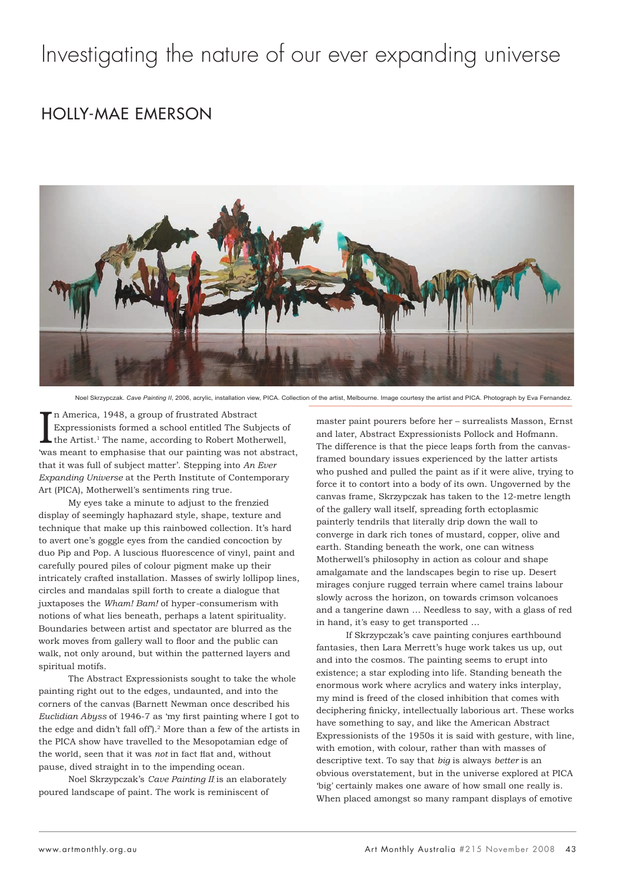## Investigating the nature of our ever expanding universe

## HOLLY-MAE EMERSON



Noel Skrzypczak. *Cave Painting II*, 2006, acrylic, installation view, PICA. Collection of the artist, Melbourne. Image courtesy the artist and PICA. Photograph by Eva Fernandez.

In America, 1948, a group of frustrated Abstract<br>Expressionists formed a school entitled The Subjects of<br>the Artist.<sup>1</sup> The name, according to Robert Motherwell,<br>was meant to emphasise that our painting was not abstract, n America, 1948, a group of frustrated Abstract Expressionists formed a school entitled The Subjects of the Artist.<sup>1</sup> The name, according to Robert Motherwell, that it was full of subject matter'. Stepping into *An Ever Expanding Universe* at the Perth Institute of Contemporary Art (PICA), Motherwell's sentiments ring true.

My eyes take a minute to adjust to the frenzied display of seemingly haphazard style, shape, texture and technique that make up this rainbowed collection. It's hard to avert one's goggle eyes from the candied concoction by duo Pip and Pop. A luscious fluorescence of vinyl, paint and carefully poured piles of colour pigment make up their intricately crafted installation. Masses of swirly lollipop lines, circles and mandalas spill forth to create a dialogue that juxtaposes the *Wham! Bam!* of hyper-consumerism with notions of what lies beneath, perhaps a latent spirituality. Boundaries between artist and spectator are blurred as the work moves from gallery wall to floor and the public can walk, not only around, but within the patterned layers and spiritual motifs.

The Abstract Expressionists sought to take the whole painting right out to the edges, undaunted, and into the corners of the canvas (Barnett Newman once described his *Euclidian Abyss* of 1946-7 as 'my first painting where I got to the edge and didn't fall off').2 More than a few of the artists in the PICA show have travelled to the Mesopotamian edge of the world, seen that it was *not* in fact flat and, without pause, dived straight in to the impending ocean.

Noel Skrzypczak's *Cave Painting II* is an elaborately poured landscape of paint. The work is reminiscent of

master paint pourers before her – surrealists Masson, Ernst and later, Abstract Expressionists Pollock and Hofmann. The difference is that the piece leaps forth from the canvasframed boundary issues experienced by the latter artists who pushed and pulled the paint as if it were alive, trying to force it to contort into a body of its own. Ungoverned by the canvas frame, Skrzypczak has taken to the 12-metre length of the gallery wall itself, spreading forth ectoplasmic painterly tendrils that literally drip down the wall to converge in dark rich tones of mustard, copper, olive and earth. Standing beneath the work, one can witness Motherwell's philosophy in action as colour and shape amalgamate and the landscapes begin to rise up. Desert mirages conjure rugged terrain where camel trains labour slowly across the horizon, on towards crimson volcanoes and a tangerine dawn … Needless to say, with a glass of red in hand, it's easy to get transported …

If Skrzypczak's cave painting conjures earthbound fantasies, then Lara Merrett's huge work takes us up, out and into the cosmos. The painting seems to erupt into existence; a star exploding into life. Standing beneath the enormous work where acrylics and watery inks interplay, my mind is freed of the closed inhibition that comes with deciphering finicky, intellectually laborious art. These works have something to say, and like the American Abstract Expressionists of the 1950s it is said with gesture, with line, with emotion, with colour, rather than with masses of descriptive text. To say that *big* is always *better* is an obvious overstatement, but in the universe explored at PICA 'big' certainly makes one aware of how small one really is. When placed amongst so many rampant displays of emotive